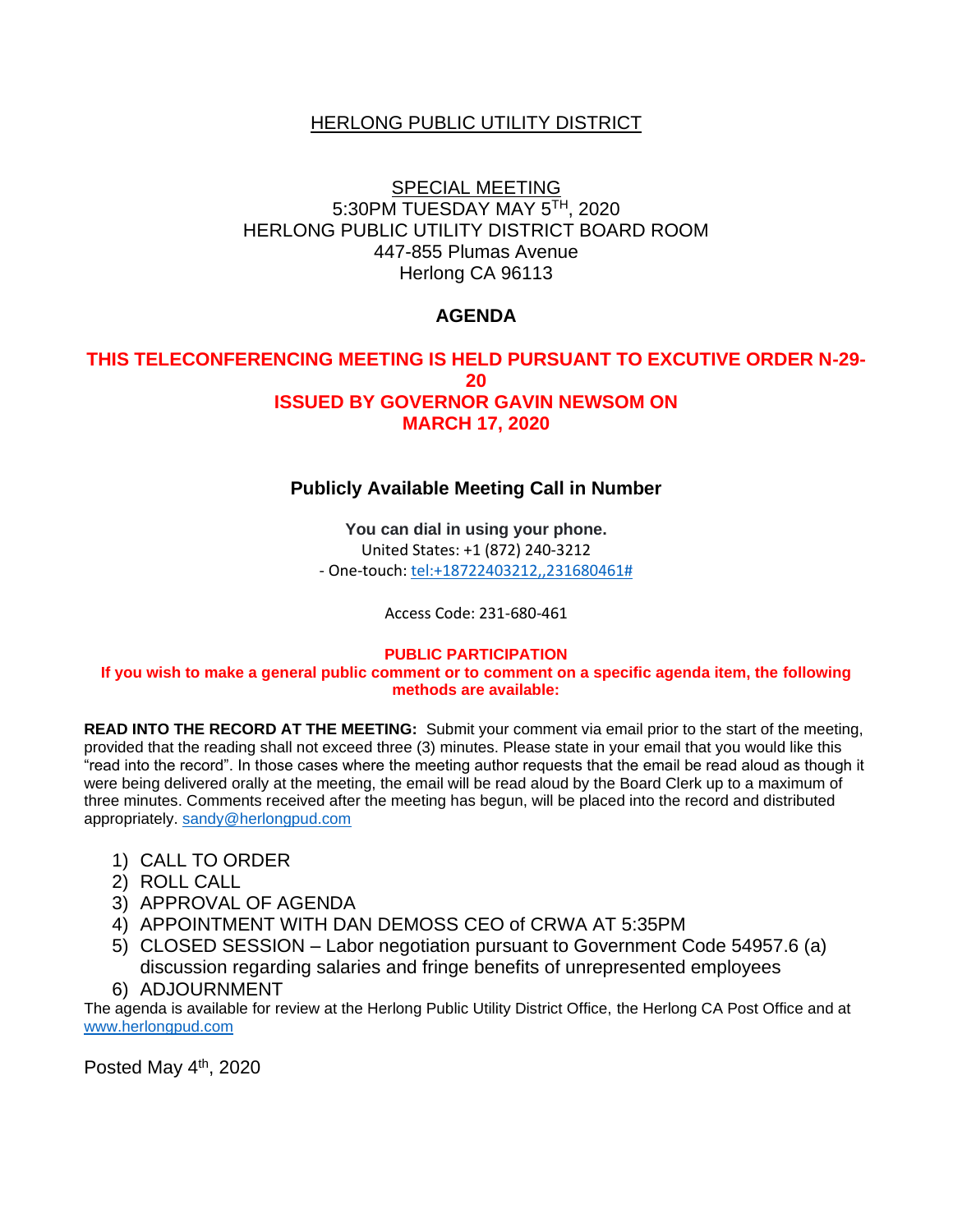## **HERLONG PUBLIC UTILITY DISTRICT**

## SPECIAL MEETING 5:30PM TUESDAY MAY 5TH, 2020 HERLONG PUBLIC UTILITY DISTRICT BOARD ROOM 447-855 Plumas Avenue Herlong CA 96113

# **AGENDA**

### **THIS TELECONFERENCING MEETING IS HELD PURSUANT TO EXCUTIVE ORDER N-29- 20 ISSUED BY GOVERNOR GAVIN NEWSOM ON MARCH 17, 2020**

#### **Publicly Available Meeting Call in Number**

**You can dial in using your phone.**  United States: +1 (872) 240-3212 - One-touch: [tel:+18722403212,,231680461#](tel:+18722403212,,231680461)

Access Code: 231-680-461

#### **PUBLIC PARTICIPATION**

**If you wish to make a general public comment or to comment on a specific agenda item, the following methods are available:**

**READ INTO THE RECORD AT THE MEETING:** Submit your comment via email prior to the start of the meeting, provided that the reading shall not exceed three (3) minutes. Please state in your email that you would like this "read into the record". In those cases where the meeting author requests that the email be read aloud as though it were being delivered orally at the meeting, the email will be read aloud by the Board Clerk up to a maximum of three minutes. Comments received after the meeting has begun, will be placed into the record and distributed appropriately. [sandy@herlongpud.com](mailto:sandy@herlongpud.com)

- 1) CALL TO ORDER
- 2) ROLL CALL
- 3) APPROVAL OF AGENDA
- 4) APPOINTMENT WITH DAN DEMOSS CEO of CRWA AT 5:35PM
- 5) CLOSED SESSION Labor negotiation pursuant to Government Code 54957.6 (a) discussion regarding salaries and fringe benefits of unrepresented employees
- 6) ADJOURNMENT

The agenda is available for review at the Herlong Public Utility District Office, the Herlong CA Post Office and at [www.herlongpud.com](http://www.herlongpud.com/)

Posted May 4<sup>th</sup>, 2020